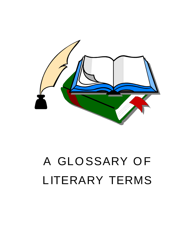

## A GLOSSARY OF LITERARY TERMS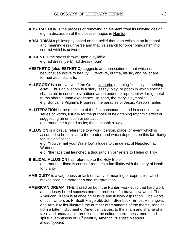- **ABSTRACTION** is the process of removing an element from its unifying design. e.g. a discussion of the disease images in Hamlet.
- **ABSURDISM** a philosophy based on the belief that man exists in an irrational and meaningless universe and that his search for order brings him into conflict with his universe.
- **ACCENT** is the stress thrown upon a syllable. e.g. ad dréss (verb); ád dress (noun)
- **AESTHETIC (also ESTHETIC)** suggests an appreciation of that which is beautiful; sensitive to beauty. Literature, drama, music, and ballet are termed aesthetic arts.
- **ALLEGORY** is a derivative of the Greek allegoria, meaning "to imply something else". Thus an allegory is a story, essay, play, or poem in which specific characters in concrete situations are intended to represent wider, general truths about human experience. In short, the story is symbolic. e.g. Bunyan's Pilgrim's Progress; the parables of Jesus, Aesop's fables
- **ALLITERATION** is the repetition of the first consonant sound in a consecutive series of words, usually for the purpose of heightening rhythmic effect or suggesting an emotion or sensation. e.g. round the rugged rocks; the sun sank slowly
- **ALLUSION** is a casual reference to a work, person, place, or event which is assumed to be familiar to the reader, and which depends on this familiarity for its significance.

e.g. "You've met your Waterloo" alludes to the defeat of Napoleon at waterloo. <u>Waterloo.</u> The contract of the contract of the contract of the contract of the contract of the contract of the contract of the contract of the contract of the contract of the contract of the contract of the cont

e.g. "the face that launched a thousand ships" refers to Helen of Troy

- **BIBLICAL ALLUSION** has reference to the Holy Bible. e.g. "another flood is coming" requires a familiarity with the story of Noah for clarity that is a set of the set of the set of the set of the set of the set of the set of the set of the set of the set of the set of the set of the set of the set of the set of the set of the set of the set of the se
- **AMBIGUITY** is a vagueness or lack of clarity of meaning or expression which makes possible more than one interpretation.
- **AMERICAN DREAM, THE**, based on both the Puritan work ethic that hard work and industry breed success and the promise of a brave new world, The American Dream is at once an elusive and illusory aspiration. The works of such writers as F. Scott Fitzgerald, John Steinbeck, Ernest Hemingway, and Arthur Miller illustrate the number of treatments of the theme, ranging from a bitter indictment of American values, to the sham and shame of a false and unattainable promise, to the cultural barrenness, moral and spiritual emptiness of 20<sup>th</sup>-century America. *(Benét's Readers'* Encyclopedia)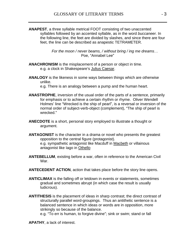**ANAPEST**, a three syllable metrical FOOT consisting of two unaccented syllables followed by an accented syllable, as in the word buccaneer. In the following line, the feet are divided by slashes, and since there are four feet, the line can be described as anapestic TETRAMETER.

> For the moon / never beams, / without bring / ing me dreams... Poe, "Annabel Lee" et al. Annual annual annual annual annual annual annual annual annual annual annual annual

- **ANACHRONISM** is the misplacement of a person or object in time. e.g. a clock in Shakespeare's Julius Caesar.
- **ANALOGY** is the likeness in some ways between things which are otherwise unlike.

e.g. There is an analogy between a pump and the human heart.

- **ANASTROPHE**, inversion of the usual order of the parts of a sentence, primarily for emphasis or to achieve a certain rhythm or rhyme. Oliver Wendell Holmes' line "Wrecked is the ship of pearl", is a reversal or inversion of the normal order of subject-verb-object (complement), "The ship of pearl is wrecked." <u>here is a set of the set of the set of the set of the set of the set of the set of the set of the set of the set of the set of the set of the set of the set of the set of the set of the set of the set of the set</u>
- **ANECDOTE** is a short, personal story employed to illustrate a thought or argument.
- **ANTAGONIST** is the character in a drama or novel who presents the greatest opposition to the central figure (protagonist). e.g. sympathetic antagonist like Macduff in Macbeth or villainous antagonist like Iago in Othello
- **ANTEBELLUM**, existing before a war, often in reference to the American Civil war. In the contract of the contract of the contract of the contract of the contract of the contract of the contract of the contract of the contract of the contract of the contract of the contract of the contract of the co
- **ANTECEDENT ACTION**, action that takes place before the story line opens.
- **ANTICLIMAX** is the falling off or letdown in events or statements, sometimes gradual and sometimes abrupt (in which case the result is usually ludicrous).
- **ANTITHESIS** is the placement of ideas in sharp contrast; the direct contrast of structurally parallel word-groupings. Thus an antithetic sentence is a balanced sentence in which ideas or words are in opposition, more strikingly so because of the balance.

e.g. "To err is human, to forgive divine"; sink or swim; stand or fall

**APATHY**, a lack of interest.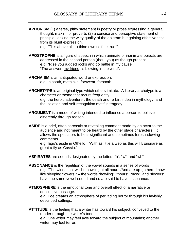**APHORISM** (1) a terse, pithy statement in poetry or prose expressing a general thought, maxim, or proverb; (2) a concise and perceptive statement of principle, lacking the witty quality of the epigram but gaining effectiveness from its blunt expression.

e.g. "This above all: to thine own self be true."

- **APOSTROPHE** is a figure of speech in which animate or inanimate objects are addressed in the second person (thou, you) as though present. e.g. "Rise you rugged rocks and do battle in my cause "The answer, my friend, is blowing in the wind".
- **ARCHAISM** is an antiquated word or expression. e.g. in sooth, methinks, forswear, forsooth
- **ARCHETYPE** is an original type which others imitate. A literary archetype is a character or theme that recurs frequently.

e.g. the heroic adventurer, the death and re-birth idea in mythology; and the isolation and self-recognition motif in tragedy

- **ARGUMENT** is a mode of writing intended to influence a person to believe differently through reason
- **ASIDE** is a brief, often sarcastic or revealing comment made by an actor to the audience and not meant to be heard by the other stage characters. It allows the spectators to hear significant and sometimes foreshadowing comments.

e.g. Iago's aside in Othello: "With as little a web as this will I/Ensnare as great a fly as Cassio.

- **ASPIRATES** are sounds designated by the letters "h", "w", and "wh".
- **ASSONANCE** is the repetition of the vowel sounds in a series of words e.g. "The winds that will be howling at all hours, And are up-gathered now like sleeping flowers;" – the words "howling", "hours", "now", and "flowers" have the same vowel sound and so are said to have assonance.
- **ATMOSPHERE** is the emotional tone and overall effect of a narrative or descriptive passage.

e.g. Poe creates an atmosphere of pervading horror through his lavishly described settings.

**ATTITUDE** is the feeling that a writer has toward his subject; conveyed to the reader through the writer's tone. e.g. One writer may feel awe toward the subject of mountains; another writer may feel terror.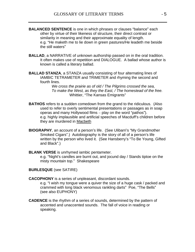- **BALANCED SENTENCE** is one in which phrases or clauses "balance" each other by virtue of their likeness of structure, their direct contrast or similarity in meaning and their approximate equality of length. e.g. "He maketh me to lie down in green pastures/He leadeth me beside the still waters
- **BALLAD**, a NARRATIVE of unknown authorship passed on in the oral tradition. It often makes use of repetition and DIALOGUE. A ballad whose author is known is called a literary ballad.
- **BALLAD STANZA**, a STANZA usually consisting of four alternating lines of IAMBIC TETRAMETER and TRIMETER and rhyming the second and fourth lines.

We cross the prairie as of old / The Pilgrims crossed the sea, To make the West, as they the East, / The homestead of the free. Whittier, "The Kansas Emigrants"

- **BATHOS** refers to a sudden comedown from the grand to the ridiculous. (Also used to refer to overly sentimental presentations or passages as in soap operas and many Hollywood films – play on the word "pathos"). e.g. highly implausible and artificial speeches of Macduff's children before they are murdered in Macbeth
- **BIOGRAPHY**, an account of a person's life. (See Ulibarri's "My Grandmother Smoked Cigars".) Autobiography is the story of all of a person's life written by the person who lived it. (See Hansberry's "To Be Young, Gifted and Black .)
- **BLANK VERSE** is unrhymed iambic pentameter.

e.g. "Night's candles are burnt out, and jocund day / Stands tiptoe on the misty mountain top." Shakespeare

- **BURLESQUE** (see SATIRE)
- **CACOPHONY** is a series of unpleasant, discordant sounds.

e.g. "I wish my tongue were a quiver the size of a huge cask / packed and crammed with long black venomous rankling darts" Poe, "The Bells" (see also EUPHONY)

**CADENCE** is the rhythm of a series of sounds, determined by the pattern of accented and unaccented sounds. The fall of voice in reading or speaking.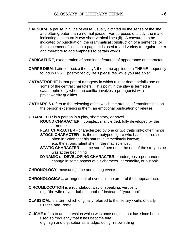- **CAESURA**, a pause in a line of verse, usually dictated by the sense of the line and often greater than a normal pause. For purposes of study, the mark indicating a caesura is two short vertical lines (ll). A caesura can be indicated by punctuation, the grammatical construction of a sentence, or the placement of lines on a page. It is used to add variety to regular meter and therefore to add emphasis to certain words.
- **CARICATURE**, exaggeration of prominent features of appearance or character.
- **CARPE DIEM**, Latin for "seize the day", the name applied to a THEME frequently found in LYRIC poetry: "enjoy life's pleasures while you are able".
- **CATASTROPHE** is that part of a tragedy in which ruin or death befalls one or some of the central characters. This point in the play is termed a catastrophe only when the conflict involves a protagonist with praiseworthy qualities.
- **CATHARSIS** refers to the releasing effect which the arousal of emotions has on the person experiencing them; an emotional purification or release.
- **CHARACTER** is a person in a play, short story, or novel.
	- **ROUND CHARACTER** complex, many-sided, fully developed by the author **and the contract of the contract of the contract of the contract of the contract of the contract of the contract of the contract of the contract of the contract of the contract of the contract of the contract of th**
	- **FLAT CHARACTER** characterized by one or two traits only; often minor **STOCK CHARACTER** – is the stereotyped figure who has occurred so often in fiction that his nature is immediately known; e.g. the strong, silent sheriff; the mad scientist
	- **STATIC CHARACTER** same sort of person at the end of the story as he was at the beginning and the second state of the second state  $\sim$
	- **DYNAMIC or DEVELOPING CHARACTER** undergoes a permanent change in some aspect of his character, personality, or outlook

**CHRONOLOGY**, measuring time and dating events.

- **CHRONOLOGICAL**, arrangement of events in the order of their appearance.
- **CIRCUMLOCUTIO**N is a roundabout way of speaking; verbosity. e.g. "the wife of your father's brother" instead of "your aunt"
- **CLASSICAL** is a term which originally referred to the literary works of early Greece and Rome.
- **CLICHÉ** refers to an expression which was once original, but has since been used so frequently that it has become trite. e.g. high and dry, sober as a judge, doing his own thing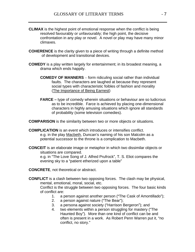- **CLIMAX** is the highest point of emotional response when the conflict is being resolved favourably or unfavourably; the high point, the decisive confrontation in any play or novel. A novel or play may have many minor climaxes. The contract of the contract of the contract of the contract of the contract of the contract of the contract of the contract of the contract of the contract of the contract of the contract of the contract of the
- **COHERENCE** is the clarity given to a piece of writing through a definite method of development and transitional devices.
- **COMEDY** is a play written largely for entertainment; in its broadest meaning, a drama which ends happily.
	- **COMEDY OF MANNERS** form ridiculing social rather than individual faults. The characters are laughed at because they represent social types with characteristic foibles of fashion and morality (The Importance of Being Earnest)
	- **FARCE** type of comedy wherein situations or behaviour are so ludicrous as to be incredible. Farce is achieved by placing one-dimensional characters in highly amusing situations which ignore all standards of probability (some television comedies).

**COMPARISON** is the similarity between two or more objects or situations.

- **COMPLICATION** is an event which introduces or intensifies conflict. e.g. in the play Macbeth, Duncan's naming of his son Malcolm as a potential successor to the throne is a complication to Macbeth.
- **CONCEIT** is an elaborate image or metaphor in which two dissimilar objects or situations are compared.

e.g. in "The Love Song of J. Alfred Prufrock", T. S. Eliot compares the evening sky to a "patient etherized upon a table"

**CONCRETE**, not theoretical or abstract.

**CONFLICT** is a clash between two opposing forces. The clash may be physical, mental, emotional, moral, social, etc.

Conflict is the struggle between two opposing forces. The four basic kinds of conflict are:  $\blacksquare$ 

- 1. a person against another person ("The Cask of Amontillado");
- 2. a person against nature ("The Bear");
- 3. a persona against society ("Harrison Bergeron"); and
- 4. two elements within a person struggling for mastery ("The Haunted Boy"). More than one kind of conflict can be and often is present in a work. As Robert Penn Warren put it, "no conflict, no story.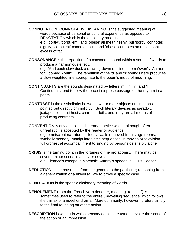**CONNOTATION, CONNOTATIVE MEANING** is the suggested meaning of words because of personal or cultural experience as opposed to DENOTATION which is the dictionary meaning.

e.g. 'portly', 'corpulent', and 'obese' all mean fleshy, but 'portly' connotes dignity, 'corpulent' connotes bulk, and 'obese' connotes an unpleasant excess of fat.

**CONSONANCE** is the repetition of a consonant sound within a series of words to produce a harmonious effect.

e.g. "And each slow dusk a drawing-down of blinds' from Owen's "Anthem for Doomed Youth". The repetition of the 'd' and 's' sounds here produces a slow weighted line appropriate to the poem's mood of mourning.

- **CONTINUANTS** are the sounds designated by letters 'm', 'n', 'r', and 'l'. Continuants tend to slow the pace in a prose passage or the rhythm in a poem. The contract of the contract of the contract of the contract of the contract of the contract of the contract of the contract of the contract of the contract of the contract of the contract of the contract of the cont
- **CONTRAST** is the dissimilarity between two or more objects or situations, pointed out directly or implicitly. Such literary devices as paradox, juxtaposition, antithesis, character foils, and irony are all means of producing contrasts.
- **CONVENTION** is any established literary practice which, although often unrealistic, is accepted by the reader or audience. e.g. omniscient narrator, soliloquy, walls removed from stage rooms, symbolic scenery, manipulated time sequences; in movies or television, full orchestral accompaniment to singing by persons ostensibly alone
- **CRISIS** is the turning point in the fortunes of the protagonist. There may be several minor crises in a play or novel. e.g. Fleance's escape in Macbeth; Antony's speech in Julius Caesar
- **DEDUCTION** is the reasoning from the general to the particular; reasoning from a generalization or a universal law to prove a specific case.
- **DENOTATION** is the specific dictionary meaning of words.
- **DENOUEMENT** (from the French verb denouer, meaning "to untie") is sometimes used to refer to the entire unravelling sequence which follows the climax of a novel or drama. More commonly, however, it refers simply to the final rounding off of the action.
- **DESCRIPTION** is writing in which sensory details are used to evoke the scene of the action or an impression.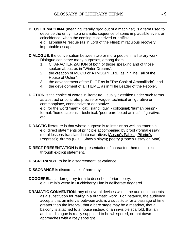- **DEUS EX MACHINA** (meaning literally "god out of a machine") is a term used to describe the entry into a dramatic sequence of some implausible event or coincidence; when the coming is contrived or artificial. e.g. last-minute rescue (as in Lord of the Flies); miraculous recovery; improbable escape
- **DIALOGUE**, the conversation between two or more people in a literary work. Dialogue can serve many purposes, among them
	- 1. CHARACTERIZATION of both of those speaking and of those spoken about, as in "Winter Dreams";
	- 2. the creation of MOOD or ATMOSPHERE, as in "The Fall of the House of Usher", which is a set of the set of the set of the set of the set of the set of the set of the set of the set of the set of the set of the set of the set of the set of the set of the set of the set of the set of
	- 3. the advancement of the PLOT as in "The Cask of Amontillado"; and
	- 4. the development of a THEME, as in "The Leader of the People".
- **DICTION** is the choice of words in literature; usually classified under such terms as abstract or concrete, precise or vague, technical or figurative or commonplace, connotative or denotative. e.g. for the word 'man' - 'cat', slang; 'guy' - colloquial; 'human being' formal; 'homo sapiens' - technical; 'poor barefooted animal' - figurative; etc.
- **DIDACTIC** literature is that whose purpose is to instruct as well as entertain. e.g. direct statements of principle accompanied by proof (formal essay); moral lessons translated into narratives (Aesop's Fables, Pilgrim's Progress); drama (G. G. Shaw's plays); poetry (Pope's Essay on Man).
- **DIRECT PRESENTATION** is the presentation of character, theme, subject through explicit statement.
- **DISCREPANCY**, to be in disagreement; at variance.
- **DISSONANCE** is discord, lack of harmony.
- **DOGGEREL** is a derogatory term to describe inferior poetry. e.g. Emily's verse in Huckleberry Finn is deliberate doggerel.
- **DRAMATIC CONVENTION**, any of several devices which the audience accepts as a substitution for reality in a dramatic work. For instance, the audience accepts that an interval between acts is a substitute for a passage of time greater than the interval, that a bare stage may be a meadow, that a balcony is attached to a house instead of an invisible scaffold, that an audible dialogue is really supposed to be whispered, or that dawn approaches with a rosy spotlight.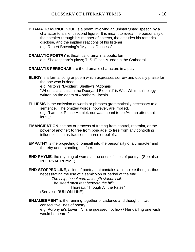- **DRAMATIC MONOLOGUE** is a poem involving an uninterrupted speech by a character to a silent second figure. It is meant to reveal the personality of the speaker through his manner of speech, the attitudes his remarks disclose, and the implied reactions of his listener. e.g. Robert Browning's "My Last Duchess"
- **DRAMATIC POETRY** is theatrical drama in a poetic form. e.g. Shakespeare's plays; T. S. Eliot's Murder in the Cathedral
- **DRAMATIS PERSONAE** are the dramatic characters in a play.
- **ELEGY** is a formal song or poem which expresses sorrow and usually praise for the one who is dead.

e.g. Milton's "Lycidas"; Shelley's "Adonais" "When Lilacs Last in the Dooryard Bloom'd" is Walt Whitman's elegy written on the death of Abraham Lincoln.

- **ELLIPSIS** is the omission of words or phrases grammatically necessary to a sentence. The omitted words, however, are implied. e.g. "I am not Prince Hamlet, nor was meant to be:/Am an attendant lord..." And the set of the set of the set of the set of the set of the set of the set of the set of the set o
- **EMANCIPATION**, the act or process of freeing from control, restraint, or the power of another; to free from bondage; to free from any controlling influence such as traditional mores or beliefs.
- **EMPATHY** is the projecting of oneself into the personality of a character and thereby understanding him/her.
- **END RHYME**, the rhyming of words at the ends of lines of poetry. (See also INTERNAL RHYME)
- **END-STOPPED LINE**, a line of poetry that contains a complete thought, thus necessitating the use of a semicolon or period at the end.

The ship, becalmed, at length stands still;

The steed must rest beneath the hill;

Thoreau, "Though All the Fates"

(See also RUN-ON LINE)

**ENJAMBEMENT** is the running together of cadence and thought in two consecutive lines of poetry. e.g. Porphyria's Lover: "...she guessed not how / Her darling one wish would be heard." The same state of the state of the state of the state of the state of the state of the state o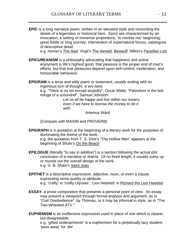**EPIC** is a long narrative poem, written in an elevated style and recounting the deeds of a legendary or historical hero. Epics are characterized by an invocation; a setting of immense proportions; 'in medias res" beginning; great battle or long journey; intervention of supernatural forces; catalogues of descriptive detail.

e.g. Homer's The Iliad; Virgil's The Aeneid; Beowulf; Milton's Paradise Lost

- **EPICUREANISM** is a philosophy advocating that happiness and active enjoyment is life's highest good, that pleasure is the proper end of man's efforts, but that true pleasures depend upon self-control, moderation, and honourable behaviour.
- **EPIGRAM** is a terse and witty poem or statement, usually ending with an ingenious turn of thought, a wry twist.

e.g. "There is no sin except stupidity", Oscar Wilde; "Patriotism is the last refuge of a scoundrel", Samuel Johnson

> Let us all be happy and live within our means, even if we have to borrow the money to do it with. The contract of the contract of the contract of the contract of the contract of the contract of the contract of the contract of the contract of the contract of the contract of the contract of the contract of the cont

Artemus Ward

(Compare with MAXIM and PROVERB)

- **EPIGRAPH** is a quotation at the beginning of a literary work for the purposes of illuminating the theme of the work. e.g. the quotation from T. S. Eliot's "The Hollow Men" appears at the beginning of Shute's On the Beach
- **EPILOGUE** (literally "to say in addition") is a section following the actual plot conclusion of a narrative or drama. Of no fixed length, it usually sums up or rounds out the overall design of the work. e.g. G. B. Shaw's <u>Saint Joan</u> in the same of the same of the same of the same of the same of the same of the same
- **EPITHET** is a descriptive expression, adjective, noun, or even a clause, expressing some quality or attribute. e.g. 'crafty' in 'crafty Ulysses'; 'Lion Hearted' in Richard the Lion Hearted
- **ESSAY**, a prose composition that presents a personal point of view. An essay may present a viewpoint through formal analysis and argument, as in "Civil Disobedience": by Thoreau, or it may be informal in style, as in "The Two-Wheeled ATV.
- **EUPHEMISM** is an inoffensive expression used in place of one which is clearer, but disagreeable.

e.g. 'gifted underachiever' is a euphemism for a perpetually lazy student; pass away' for 'die' strategies' and the strategies of the strategies of the strategies of the strategies of the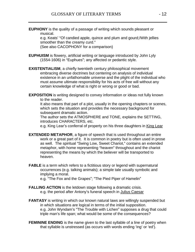**EUPHONY** is the quality of a passage of writing which sounds pleasant or musical.

e.g. Keats' "Of candied apple, quince and plum and gourd;/With jellies smoother than the creamy curd."

(See also CACOPHONY for a comparison)

- **EUPHUISM** is flowery, artificial writing or language introduced by John Lyly (1554-1606) in "Euphues"; any affected or pedantic style.
- **EXISTENTIALISM**, a chiefly twentieth century philosophical movement embracing diverse doctrines but centering on analysis of individual existence in an unfathomable universe and the plight of the individual who must assume ultimate responsibility for his acts of free will without any certain knowledge of what is right or wrong or good or bad.
- **EXPOSITION** is writing designed to convey information or ideas not fully known to the reader.

It also means that part of a plot, usually in the opening chapters or scenes, which sets the situation and provides the necessary background for subsequent dramatic action.

The author sets the ATMOSPHERE and TONE, explains the SETTING, introduces CHARACTERS, etc.

e.g. King Lear's conferral of property on his three daughters in King Lear

- **EXTENDED METAPHOR**, a figure of speech that is used throughout an entire work or a great part of it. It is common in poetry but is often used in prose as well. The spiritual "Swing Low, Sweet Chariot," contains an extended metaphor, with home representing "heaven" throughout and the chariot representing the means by which the believer will be transported to heaven. **heaven** with the contract of the contract of the contract of the contract of the contract of the contract of the contract of the contract of the contract of the contract of the contract of the contract of the cont
- **FABLE** is a term which refers to a fictitious story or legend with supernatural occurrences (e.g. talking animals); a simple tale usually symbolic and implying a moral.

e.g. "The Fox and the Grapes"; "The Pied Piper of Hamelin"

- **FALLING ACTION** is the letdown stage following a dramatic crisis. e.g. the period after Antony's funeral speech in Julius Caesar
- **FANTASY** is writing in which our known natural laws are willingly suspended but in which situations are logical in terms of the initial supposition. e.g. John Wyndam's "The Trouble with Lichen" supposes a drug that could triple man's life span; what would be some of the consequences?
- **FEMININE ENDING** is the name given to the last syllable of a line of poetry when that syllable is unstressed (as occurs with words ending 'ing' or 'ed').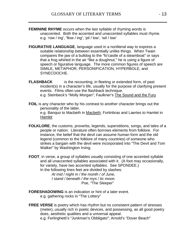- **FEMININE RHYME** occurs when the last syllable of rhyming words is unaccented. Both the accented and unaccented syllables must rhyme. e.g. 'row / ing', 'flow / ing'; 'pil / low', 'wil / low'
- **FIGURATIVE LANGUAGE**, language used in a nonliteral way to express a suitable relationship between essentially unlike things. When Twain compares the jaw of a bulldog to the "fo'castle of a steamboat" or says that a frog whirled in the air "like a doughnut," he is using a figure of speech or figurative language. The more common figures of speech are SIMILE, METAPHOR, PERSONIFICATION, HYPERBOLE, and SYNECDOCHE.
- **FLASHBACK** is the recounting, in fleeting or extended form, of past incident(s) in a character's life, usually for the purpose of clarifying present events. Films often use the flashback technique. e.g. Steinbeck's "Molly Morgan"; Faulkner's The Sound and the Fury
- **FOIL** is any character who by his contrast to another character brings out the personality of the latter. e.g. Banquo to Macbeth in Macbeth; Fortinbras and Laertes to Hamlet in en <mark>Hamlet</mark> (1999) is a series of the series of the series of the series of the series of the series of the series of the series of the series of the series of the series of the series of the series of the series of the se
- **FOLKLORE**, the customs, proverbs, legends, superstitions, songs, and tales of a people or nation. Literature often borrows elements from folklore. For instance, the belief that the devil can assume human form and the old legend (common to the folklore of many countries) of someone who strikes a bargain with the devil were incorporated into "The Devil and Tom Walker" by Washington Irving.

**FOOT**, in verse, a group of syllables usually consisting of one accented syllable and all unaccented syllables associated with it. (A foot may occasionally, for variety, have two accented syllables. See SPONDEE.) In the following lines feet are divided by slashes:

> At mid / night in / the month / of June, I stand / beneath / the mys / tic moon. Poe, "The Sleeper" when the state of the Sheeper" when the state of the state of the state of the state of the

- **FORESHADOWING** is an indication or hint of a later event. e.g. gathering rocks in "The Lottery"
- **FREE VERSE** is poetry which has rhythm but no consistent pattern of stresses (meter), usually rich in poetic devices, and possessing, as all good poetry does, aesthetic qualities and a universal appeal. e.g. Ferlinghetti's "Junkman's Obbligato"; Arnold's "Dover Beach"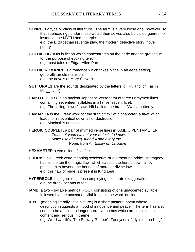**GENRE** is a type or class of literature. The term is a very loose one, however, so that subheadings under these would themselves also be called genres, for instance, the MYTH and the epic.

e.g. the Elizabethan revenge play, the modern detective story, novel, poetry. The contract of the contract of the contract of the contract of the contract of the contract of the contract of the contract of the contract of the contract of the contract of the contract of the contract of the co

- **GOTHIC FICTION** is fiction which concentrates on the eerie and the grotesque for the purpose of evoking terror. e.g. most tales of Edgar Allen Poe
- **GOTHIC ROMANCE** is a romance which takes place in an eerie setting, generally an old mansion. e.g. the novels of Mary Stewart
- **GUTTURALS** are the sounds designated by the letters 'q', 'k', and 'ch' (as in Ma<u>ch</u>iavelli) and the second state of the second state of the second state of the second state of the second state of the second state of the second state of the second state of the second state of the second state of the
- **HAIKU POETRY** is an ancient Japanese verse form of three unrhymed lines containing seventeen syllables in all (five, seven, five). e.g. The falling flower/I saw drift back to the branch/Was a butterfly.
- **HAMARTIA** is the Greek word for the 'tragic flaw' of a character, a flaw which leads to his eventual downfall or destruction. e.g. Macbeth's ambition and the contract of the contract of the contract of the contract of the contract of the contract of the contract of the contract of the contract of the contract of the contract of the contract of th
- **HEROIC COUPLET**, a pair of rhymed verse lines in IAMBIC PENTAMETER. Trust not yourself: but your defects to know, Make use of every friend - and every foe. Pope, from An Essay on Criticism
- **HEXAMETER** a verse line of six feet.
- **HUBRIS** is a Greek word meaning 'excessive or overbearing pride'. In tragedy, hubris is often the 'tragic flaw' which causes the hero's downfall by pushing him beyond the bounds of moral or divine law. e.g. this flaw of pride is present in King Lear
- **HYPERBOLE** is a figure of speech employing deliberate exaggeration. e.g. he drank oceans of tea.
- **IAMB**, a two syllable metrical FOOT consisting of one unaccented syllable followed by one accented syllable, as in the word 'decide'.
- **IDYLL** (meaning literally 'little picture') is a short pastoral poem whose description suggests a mood of innocence and peace. The term has also come to be applied to longer narrative poems which are idealized in content and serious in theme.

e.g. Wordsworth's "The Solitary Reaper"; Tennyson's "Idylls of the King"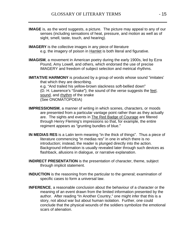- **IMAGE** is, as the word suggests, a picture. The picture may appeal to any of our senses (including sensations of heat, pressure, and motion as well as of sight, smell, taste, touch, and hearing).
- **IMAGERY** is the collective images in any piece of literature e.g. the imagery of poison in Hamlet is both literal and figurative.
- **IMAGISM**, a movement in American poetry during the early 1900s, led by Ezra Pound, Amy Lowell, and others, which endorsed the use of precise IMAGERY and freedom of subject selection and metrical rhythms.
- **IMITATIVE HARMONY** is produced by a group of words whose sound "imitates" that which they are describing. e.g. "And trailed his yellow-brown slackness soft-bellied down" ( $\overline{D}$ . H. Lawrence's "Snake"); the sound of the verse suggests the <u>feel</u>, sound, and rhythm of the snake (See ONOMATOPOEIA)
- **IMPRESSIONISM**, a manner of writing in which scenes, characters, or moods are presented from a particular vantage point rather than as they actually are. The sights and events in The Red Badge of Courage are filtered through Henry Fleming's impressions so that, for example, the entire regiment appears as "grunting bundles of blue."
- **IN MEDIAS RES** is a Latin term meaning "in the thick of things". Thus a piece of literature commencing "in medias res" in one in which there is no introduction; instead, the reader is plunged directly into the action. Background information is usually revealed later through such devices as flashback, allusions in dialogue, or narrative explanation.
- **INDIRECT PRESENTATION** is the presentation of character, theme, subject through implicit statement.
- **INDUCTION** is the reasoning from the particular to the general; examination of specific cases to form a universal law.
- **INFERENCE**, a reasonable conclusion about the behaviour of a character or the meaning of an event drawn from the limited information presented by the author. After reading "In Another Country," one might infer that this is a story, not about war but about human isolation. Further, one could conclude that the physical wounds of the soldiers symbolize the emotional scars of alienation.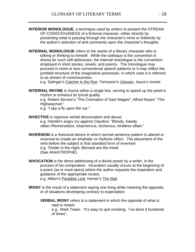- **INTERIOR MONOLOGUE**, a technique used by writers to present the STREAM OF CONSCIOUSNESS of a fictional character, either directly by presenting what is passing through the character's mind or indirectly by the author's selection of and comments upon the character's thoughts.
- **INTERNAL MONOLOGUE** refers to the words of a literary character who is talking or thinking to himself. While the soliloquy is the convention in drama for such self-addresses, the internal monologue is the convention employed in short stories, novels, and poems. The monologue may proceed in more or less conventional speech patterns or it may reflect the jumbled structure of the imaginative processes, in which case it is referred to as stream of consciousness.

e.g. Salinger's Catcher in the Rye; Tennyson's Ulysses; Joyce's novels

**INTERNAL RHYME** is rhyme within a single line, serving to speed up the poem's rhythm or enhance its lyrical quality.

e.g. Robert Service's "The Cremation of Sam Magee"; Alfred Noyes' "The Highwayman

e.g. "I spy a fly upon the rye."

**INVECTIVE** is vigorous verbal denunciation and abuse. e.g. Hamlet's angry cry against Claudius; "Bloody, bawdy

villain./Remorseless, treacherous, lecherous, kindless villain.

**INVERSION** is a rhetorical device in which normal sentence pattern is altered or reversed to create an emphatic or rhythmic effect. The placement of the verb before the subject is that standard form of inversion. e.g. Tender is the night; Blessed are the meek

(See ANASTROPHE)

**INVOCATION** is the direct addressing of a divine power by a writer, in the process of his composition. Invocation usually occurs at the beginning of a poem (as in most epics) where the author requests the inspiration and guidance of the appropriate muses.

e.g. Milton's Paradise Lost; Homer's The Iliad

- **IRONY** is the result of a statement saying one thing while meaning the opposite, or of situations developing contrary to expectation.
	- **VERBAL IRONY** refers to a statement in which the opposite of what is said is meant. The same state of the state of the state of the state of the state of the state of the state of the state of the state of the state of the state of the state of the state of the state of the state of the sta e.g.. Mark Twain: "It's easy to quit smoking. I've done it hundreds

of times".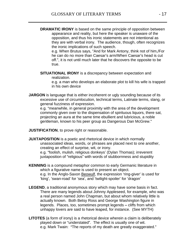**DRAMATIC IRONY** is based on the same principle of opposition between appearance and reality, but here the speaker is unaware of the opposition, and thus his ironic statements are not intentional as they are with verbal irony. The audience, though, often recognizes the ironic implications of such speech.

e.g. When Brutus says, "And for Mark Antony, think not of him./For he can do no more than Caesar's arm/When Caesar's head is cut off.", it is not until much later that he discovers the opposite to be true.

**SITUATIONAL IRONY** is a discrepancy between expectation and realization. **Example 20** in the contract of the contract of the contract of the contract of the contract of the contract of the contract of the contract of the contract of the contract of the contract of the contract of t

e.g. a man who develops an elaborate plot to kill his wife is trapped in his own device

**JARGON** is language that is either incoherent or ugly sounding because of its excessive use of circumlocution, technical terms, Latinate terms, slang, or general fuzziness of expression.

e.g. "meanwhile, in general proximity with the area of the development commonly given over to the dispensation of spirituous liquors, there sat, projecting an aura at the same time ebullient and lubricious, a noble gentleman, known to his peer group as Dangerous Dan McGrew.

**JUSTIFICATION**, to prove right or reasonable.

**JUXTAPOSITION** is a poetic and rhetorical device in which normally unassociated ideas, words, or phrases are placed next to one another, creating an effect of surprise, wit, or irony.

e.g. "foolish, mulish, religious donkeys' (Dylan Thomas); irreverent juxtaposition of "religious" with words of stubbornness and stupidity

- **KENNING** is a compound metaphor common to early Germanic literature in which a figurative name is used to present an object. e.g. In the Anglo-Saxon Beowulf, the expression 'ring-giver' is used for 'king', 'swan-road' for 'sea', and 'twilight-spoiler' for 'dragon'
- **LEGEND**, a traditional anonymous story which may have some basis in fact. There are many legends about Johnny Appleseed, for example, who was a real person named John Chapman, but about whom relatively little is actually known. Both Betsy Ross and George Washington figure in legends. Places, too, sometimes prompt legends - cliffs from which unhappy lovers are said to have leaped, for instance. (See MYTH)
- **LITOTES** (a form of irony) is a rhetorical device wherein a claim is deliberately played down or "understated". The effect is usually one of wit. e.g. Mark Twain: "The reports of my death are greatly exaggerated."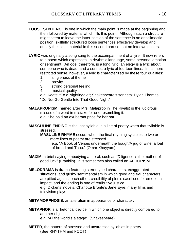- **LOOSE SENTENCE** is one in which the main point is made at the beginning and then followed by material which fills this point. Although such a structure might seem to leave the latter section of the sentence in an anticlimactic position, skillfully structured loose sentences effectively develop and qualify the initial material in this second part so that no letdown occurs.
- LYRIC was originally a song sung to the accompaniment of a lyre. It now refers to a poem which expresses, in rhythmic language, some personal emotion or sentiment. An ode, therefore, is a long lyric; an elegy is a lyric about someone who is dead; and a sonnet, a lyric of fourteen lines. In its more restricted sense, however, a lyric is characterized by these four qualities:
	- 1. singleness of theme
	- 2. brevity
	- 3. strong personal feeling
	- 4. musical quality

e.g. Keats' "To a Nightingale"; Shakespeare's sonnets; Dylan Thomas' "Do Not Go Gentle Into That Good Night"

- **MALAPROPISM** (named after Mrs. Malaprop in The Rivals) is the ludicrous misuse of a word in mistake for one resembling it. e.g. She paid an exuberant price for her hat.
- **MASCULINE ENDING** is the last syllable in a line of poetry when that syllable is stressed. The contract of the contract of the contract of the contract of the contract of the contract of the contract of the contract of the contract of the contract of the contract of the contract of the contract of the

**MASULINE RHYME** occurs when the final rhyming syllables to two or more lines of poetry are stressed.

e.g. "A Book of Verses underneath the bough/A jug of wine, a loaf of bread and Thou." (Omar Khayyam)

- **MAXIM**, a brief saying embodying a moral, such as "Diligence is the mother of good luck" (Franklin). It is sometimes also called an APHORISM.
- **MELODRAMA** is drama featuring stereotyped characters, exaggerated situations, and gushy sentimentalism in which good and evil characters are pitted against each other, credibility of plot is sacrificed for emotional impact, and the ending is one of retributive justice. e.g. Dickens' novels; Charlotte Bronte's Jane Eyre; many films and television plays
- **METAMORPHOSIS**, an alteration in appearance or character.
- **METAPHOR** is a rhetorical device in which one object is directly compared to another object. e.g. "All the world's a stage" (Shakespeare)
- **METER**, the pattern of stressed and unstressed syllables in poetry. (See RHYTHM and FOOT)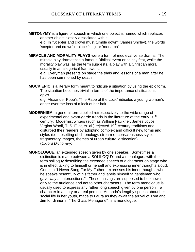**METONYMY** is a figure of speech in which one object is named which replaces another object closely associated with it.

e.g. In "Scepter and crown must tumble down" (James Shirley), the words 'scepter and crown' replace 'king' or 'monarch'

**MIRACLE AND MORALITY PLAYS** were a form of medieval verse drama. The miracle play dramatized a famous Biblical event or saintly feat, while the morality play was, as the term suggests, a play with a Christian moral, usually in an allegorical framework.

e.g. Everyman presents on stage the trials and lessons of a man after he has been summoned by death

**MOCK EPIC** is a literary form meant to ridicule a situation by using the epic form. The situation becomes trivial in terms of the importance of situations in epics. The contract of the contract of the contract of the contract of the contract of the contract of the contract of the contract of the contract of the contract of the contract of the contract of the contract of the con

e.g. Alexander Pope's "The Rape of the Lock" ridicules a young woman's anger over the loss of a lock of her hair.

- **MODERNISM**, a general term applied retrospectively to the wide range of experimental and avant-garde trends in the literature of the early 20<sup>th</sup> century. Modernist writers (such as William Faulkner, James Joyce, Virgina Woolf, T. S. Eliot, et. al.) rejected 19<sup>th</sup>-century traditions and disturbed their readers by adopting complex and difficult new forms and styles (i.e. upsetting of chronology, stream-of-consciousness style, fragmentary images, themes of urban cultural dislocation). (Oxford Dictionary)
- **MONOLOGUE**, an extended speech given by one speaker. Sometimes a distinction is made between a SOLILOQUY and a monologue, with the term soliloquy describing the extended speech of a character on stage who is in effect talking to himself or herself and expressing inner thoughts aloud. Gene, in "I Never Sang For My Father:, expresses his inner thoughts when he speaks resentfully of his father and labels himself "a gentleman who gave way at intersections.": These musings are supposed to be known only to the audience and not to other characters. The term monologue is usually used to express any rather long speech given by one person  $- a$ character in a story or a real person. Amanda's lengthy speech about her social life in her youth, made to Laura as they await the arrival of Tom and Jim for dinner in "The Glass Menagerie", is a monologue.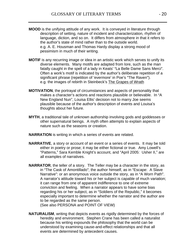- **MOOD** is the unifying attitude of any work. It is conveyed in literature through description of setting, nature of incident and characterization, rhythm of language, diction, and so on. It differs from atmosphere in that it refers to the author's state of mind rather than to the outside world. e.g. A. E. Housman and Thomas Hardy display a strong mood of pessimism in much of their writing.
- **MOTIF** is any recurring image or idea in an artistic work which serves to unify its diverse elements. Many motifs are adapted from lore, such as the man fatally caught in the spell of a lady in Keats' "La Belle Dame Sans Merci". Often a work's motif is indicated by the author's deliberate repetition of a significant phrase (repetition of 'evermore' in Poe's "The Raven"). e.g. the images of rebirth in Steinbeck's The Grapes of Wrath
- **MOTIVATION**, the portrayal of circumstances and aspects of personality that makes a character's actions and reactions plausible or believable. In "A New England Nun", Louisa Ellis' decision not to marry Joe seems plausible because of the author's description of events and Louisa's thoughts about her future.
- **MYTH**, a traditional tale of unknown authorship involving gods and goddesses or other supernatural beings. A myth often attempts to explain aspects of nature such as the seasons or creation.
- **NARRATION** is writing in which a series of events are related.
- **NARRATIVE**, a story or account of an event or a series of events. It may be told either in poetry or prose; it may be either fictional or true. Amy Lowell's "Patterns," Sara Kemble Knight's account, and "April 2005: Usher II," are all examples of narratives.
- **NARRATOR**, the teller of a story. The Teller may be a character in the story, as in "The Cask of Amontillado"; the author himself, as in "Escape: A Slave Narrative": or an anonymous voice outside the story, as in "A Worn Path". A narrator's attitude toward his or her subject is capable of much variation; it can range from one of apparent indifference to one of extreme conviction and feeling. When a narrator appears to have some bias regarding his or her subject, as in "Soldiers of the Republic," it becomes especially important to determine whether the narrator and the author are to be regarded as the same person.

(See also PERSONA and POINT OF VIEW)

**NATURALISM**, writing that depicts events as rigidly determined by the forces of heredity and environment. Stephen Crane has been called a naturalist because his writing expounds the philosophy that the world can be understood by examining cause-and-effect relationships and that all events are determined by antecedent causes.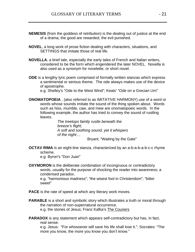- **NEMESIS** (from the goddess of retribution) is the dealing out of justice at the end of a drama; the good are rewarded, the evil punished.
- **NOVEL**, a long work of prose fiction dealing with characters, situations, and SETTINGS that imitate those of real life.
- **NOVELLA**, a brief tale, especially the early tales of French and Italian writers, considered to be the form which engendered the later NOVEL. Novella is also used as a synonym for novelette, or short novel.
- **ODE** is a lengthy lyric poem comprised of formally written stanzas which express a sentimental or serious theme. The ode always makes use of the device of apostrophe.
	- e.g. Shelley's "Ode to the West Wind"; Keats' "Ode on a Grecian Urn"
- **ONOMATOPOEIA** , (also referred to as IMITATIVE HARMONY) use of a word or words whose sounds imitate the sound of the thing spoken about. Words such as hiss, mumble, caw, and mew are onomatopoeic words. In the following example, the author has tried to convey the sound of rustling leaves. **Example 2008 leaves**.

The treetops faintly rustle beneath the breeze's flight, the state of the state of the state of the state of the state of the state of the state of the state of the state of the state of the state of the state of the state of the state of the state of the state A soft and soothing sound, yet it whispers of the night...

Bryant, Waiting by the Gate

**OCTAV RIMA** is an eight-line stanza, characterized by an a-b-a-b-a-b-c-c rhyme scheme. The state of the state of the state of the state of the state of the state of the state of the state of the state of the state of the state of the state of the state of the state of the state of the state of the st

e.g. Byron's "Don Juan" when the contract of the contract of the contract of the contract of the contract of the contract of the contract of the contract of the contract of the contract of the contract of the contract of t

**OXYMORON** is the deliberate combination of incongruous or contradictory words, usually for the purpose of shocking the reader into awareness; a condensed paradox.

e.g. "harmonious madness"; "the wisest fool in Christendom"; "bitter sweet" when the state of the state of the state of the state of the state of the state of the state of the state of the state of the state of the state of the state of the state of the state of the state of the state of th

**PACE** is the rate of speed at which any literary work moves.

- **PARABLE** is a short and symbolic story which illustrates a truth or moral through the narration of non-supernatural occurrence. e.g. the stories of Jesus; Franz Kafka's The Couriers
- **PARADOX** is any statement which appears self-contradictory but has, in fact, real sense.

e.g. Jesus: "For whosoever will save his life shall lose it."; Socrates: "The more you know, the more you know you don't know."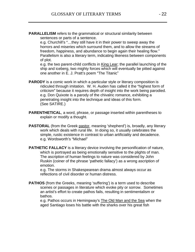**PARALLELISM** refers to the grammatical or structural similarity between sentences or parts of a sentence.

e.g. Churchill's "...they still have it in their power to sweep away the horrors and miseries which surround them, and to allow the streams of freedom, happiness, and abundance to begin again their healing flow. Parallelism is also a literary term, indicating likeness between components of plot.

e.g. the two parent-child conflicts in King Lear; the parallel launching of the ship and iceberg, two mighty forces which will eventually be pitted against one another in E. J. Pratt's poem "The Titanic"

- **PARODY** is a comic work in which a particular style or literary composition is ridiculed through imitation. W. H. Auden has called it the "highest form of criticism" because it requires depth of insight into the work being parodied. e.g. Don Quixote is a parody of the chivalric romance, exhibiting a penetrating insight into the technique and ideas of this form. (See SATIRE.)
- **PARENTHETICAL**, a word, phrase, or passage inserted within parentheses to explain or modify a thought.
- **PASTORAL** (from the Greek pastor, meaning 'shepherd') is, broadly, any literary work which deals with rural life. In doing so, it usually celebrates the simple, rustic existence in contrast to urban artificiality and decadence. e.g. Wordsworth's "Michael"
- **PATHETIC FALLACY** is a literary device involving the personification of nature, which is portrayed as being emotionally sensitive to the plights of man. The ascription of human feelings to nature was considered by John Ruskin (coiner of the phrase 'pathetic fallacy') as a wrong ascription of emotion.

e.g. The storms in Shakespearean drama almost always occur as reflections of civil disorder or human distress.

**PATHOS** (from the Greeks, meaning 'suffering') is a term used to describe scenes or passages in literature which evoke pity or sorrow. Sometimes an artist's effort to create pathos fails, resulting in sentimentalism or **bathos.** The contract of the contract of the contract of the contract of the contract of the contract of the contract of the contract of the contract of the contract of the contract of the contract of the contract of the

e.g. Pathos occurs in Hemingway's The Old Man and the Sea when the aged Santiago loses his battle with the sharks over his great fish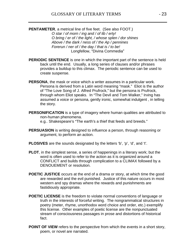**PENTAMETER**, a metrical line of five feet. (See also FOOT.)

O star / of morn / ing and / of lib / erty! O bring / er of / the light, / whose splen / dor shines Above / the dark / ness of / the Ap / pennines Forerun / ner of / the day / that is / to be! Longfellow, "Divina Commedia"

- **PERIODIC SENTENCE** is one in which the important part of the sentence is held back until the end. Usually, a long series of clauses and/or phrases provides a buildup to this climax. The periodic sentence can be used to create suspense.
- **PERSONA**, the mask or voice which a writer assumes in a particular work. Persona is derived from a Latin word meaning "mask." Eliot is the author of "The Love Song of J. Alfred Prufrock," but the persona is Prufrock, through whom Eliot speaks. In "The Devil and Tom Walker," Irving has assumed a voice or persona, gently ironic, somewhat indulgent , in telling the story.
- **PERSONIFICATION** is a type of imagery where human qualities are attributed to non-human phenomena.

e.g.. Shakespeare's "The earth's a thief that feeds and breeds."

- **PERSUASION** is writing designed to influence a person, through reasoning or argument, to perform an action.
- **PLOSIVES** are the sounds designated by the letters 'b', 'p', 'd', and 't'.
- **PLOT**, in the simplest sense, a series of happenings in a literary work; but the word is often used to refer to the action as it is organized around a CONFLICT and builds through complication to a CLIMAX followed by a DENOUEMENT or resolution.
- **POETIC JUSTICE** occurs at the end of a drama or story, at which time the good are rewarded and the evil punished. Justice of this nature occurs in most western and spy dramas where the rewards and punishments are fastidiously appropriate.
- **POETIC LICENSE** is the freedom to violate normal conventions of language or truth in the interests of forceful writing. The nongrammatical structures in poetry (meter, rhyme, unorthodox word choice and order, etc.) exemplify this license. Other examples of poetic license are the nonpunctuated stream of consciousness passages in prose and distortions of historical fact. The contract of the contract of the contract of the contract of the contract of the contract of the contract of the contract of the contract of the contract of the contract of the contract of the contract of the cont
- **POINT OF VIEW** refers to the perspective from which the events in a short story, poem, or novel are narrated.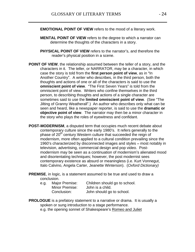- **EMOTIONAL POINT OF VIEW** refers to the mood of a literary work.
- **MENTAL POINT OF VIEW** refers to the degree to which a narrator can determine the thoughts of the characters in a story.
- **PHYSICAL POINT OF VIEW** refers to the narrator's, and therefore the reader's physical position in a scene.
- **POINT OF VIEW**, the relationship assumed between the teller of a story, and the characters in it. The teller, or NARRATOR, may be a character, in which case the story is told from the first person point of view, as in "In Another Country". A writer who describes, in the third person, both the thoughts and actions of one or all of the characters is said to use the **omniscient point of view.** "The First Seven Years" is told from the omniscient point of view. Writers who confine themselves in the third person, to describing thoughts and actions of a single character are sometimes said to use the **limited omniscient point of view**. (See "The Jilting of Granny Weatherall".) An author who describes only what can be seen and heard, like a newspaper reporter, is said to use the **dramatic or objective point of view**. The narrator may then be a minor character in the story who plays the roles of eyewitness and confidant.
- **POST-MODERNISM**, a disputed term that occupies much recent debate about contemporary culture since the early 1980's. It refers generally to the phase of 20<sup>th</sup> century Western culture that succeeded the reign of modernism, more often applied to a cultural condition prevailing since the 1960's characterized by disconnected images and styles – most notably in television, advertising, commercial design and pop video. Post modernism may be seen as a continuation of modernism's alienated mood and disorientating techniques; however, the post modernist sees contemporary existence as absurd or meaningless (i.e. Kurt Vonnegut, Italo Calvino, Angela Carter, Jeanette Winterson). (Oxford Dictionary)
- **PREMISE**, in logic, is a statement assumed to be true and used to draw a conclusion.

| e.g. | Major Premise: | Children should go to school. |
|------|----------------|-------------------------------|
|      | Minor Premise: | John is a child.              |
|      | Conclusion:    | John should go to school.     |

**PROLOGUE** is a prefatory statement to a narrative or drama. It is usually a spoken or sung introduction to a stage performance. e.g. the opening sonnet of Shakespeare's Romeo and Juliet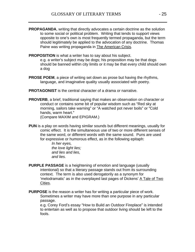- **PROPAGANDA**, writing that directly advocates a certain doctrine as the solution to some social or political problem. Writing that tends to support views opposite to one's own is most frequently termed propaganda, but the term should legitimately be applied to the advocation of any doctrine. Thomas Paine was writing propaganda in The American Crisis.
- **PROPOSITION** is what a writer has to say about his subject.

e.g. a writer's subject may be dogs; his proposition may be that dogs should be banned within city limits or it may be that every child should own a dog

- **PROSE POEM**, a piece of writing set down as prose but having the rhythms, language, and imaginative quality usually associated with poetry.
- **PROTAGONIST** is the central character of a drama or narrative.
- **PROVERB**, a brief, traditional saying that makes an observation on character or conduct or contains some bit of popular wisdom such as "Red sky at morning, sailors take warning" or "A watched pot never boils" or "Cold hands, warm heart." The contract of the contract of the contract of the contract of the contract of the contract of the contract of the contract of the contract of the contract of the contract of the contract of the contra

(Compare MAXIM and EPIGRAM.)

**PUN** is a play on words having similar sounds but different meanings, usually for comic effect. It is the simultaneous use of two or more different senses of the same word, or different words with the same sound. Puns are used for expressive or humorous effect, as in the following epitaph:

> In her eyes, the love light lies; and lies and lies, and lies.

- **PURPLE PASSAGE** is a heightening of emotion and language (usually intentional) so that a literary passage stands out from its surrounding context. The term is also used derogatorily as a synonym for 'melodramatic' as in the overplayed last pages of Dickens' A Tale of Two <u>Cities</u>.
- **PURPOSE** is the reason a writer has for writing a particular piece of work. Sometimes a writer may have more than one purpose in any particular passage. The contract of the contract of the contract of the contract of the contract of the contract of the contract of the contract of the contract of the contract of the contract of the contract of the contract of the c

e.g. Corey Ford's essay "How to Build an Outdoor Fireplace" is intended to entertain as well as to propose that outdoor living should be left to the fools.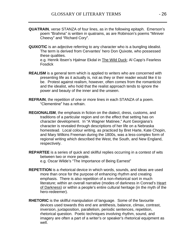- **QUATRAIN, verse STANZA of four lines, as in the following epitaph. Emerson's** poem "Brahma" is written in quatrains, as are Robinson's poems "Miniver Cheevy" and "Richard Cory".
- **QUIXOTIC** is an adjective referring to any character who is a bungling idealist. The term is derived from Cervantes' hero Don Quixote, who possessed these qualities.

e.g. Henrik Ibsen's Hjalmar Ekdal in The Wild Duck; Al Capp's Fearless Fosdick

- **REALISM** is a general term which is applied to writers who are concerned with presenting life as it actually is, not as they or their reader would like it to be. Protest against realism, however, often comes from the romanticist and the idealist, who hold that the realist approach tends to ignore the power and beauty of the inner and the unseen.
- **REFRAIN**, the repetition of one or more lines in each STANZA of a poem. Clementine" has a refrain. The state of the state of the state of the state of the state of the state of the state of the state of the state of the state of the state of the state of the state of the state of the state of
- **REGIONALISM**, the emphasis in fiction on the dialect, dress, customs, and traditions of a particular region and on the effect that setting has on character development. In "A Wagner Matinee," Aunt Georgiana's character is revealed through descriptions of her life on a Nebraska homestead. Local colour writing, as practiced by Bret Harte, Kate Chopin, and Mary Wilkins Freeman during the 1800s, was a less-complex form of regional writing which described the West, the South, and New England, respectively.
- **REPARTEE** is a series of quick and skillful replies occurring in a contest of wits between two or more people. e.g. Oscar Wilde's "The Importance of Being Earnest"
- **REPETITION** is a rhetorical device in which words, sounds, and ideas are used more than once for the purpose of enhancing rhythm and creating emphasis. There is also repetition of a non-rhetorical sort in much literature; within an overall narrative (modes of darkness in Conrad's Heart of Darkness) or within a people's entire cultural heritage (in the myth of the hero-redeemer).
- **RHETORIC** is the skillful manipulation of language. Some of the favourite devices used towards this end are antithesis, balance, climax, contrast, inversion, juxtaposition, parallelism, periodic sentences, repetition, rhetorical question. Poetic techniques involving rhythm, sound, and imagery are often a part of a writer's or speaker's rhetorical equipment as well.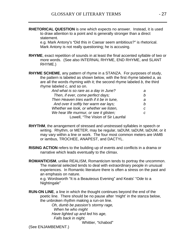**RHETORICAL QUESTION** is one which expects no answer. Instead, it is used to draw attention to a point and is generally stronger than a direct statement. The contract of the contract of the contract of the contract of the contract of the contract of the contract of the contract of the contract of the contract of the contract of the contract of the contract of the

e.g. Mark Antony's "Did this in Caesar seem ambitious?" is rhetorical. Mark Antony is not really questioning; he is accusing.

- **RHYME**, exact repetition of sounds in at least the final accented syllable of two or more words. (See also INTERNAL RHYME, END RHYME, and SLANT RHYME.)
- **RHYME SCHEME**, any pattern of rhyme in a STANZA. For purposes of study, the pattern is labeled as shown below, with the first rhyme labeled a, as are all the words rhyming with it; the second rhyme labeled b, the third rhyme labeled c, and so on.

| And what is so rare as a day in June?     |  |  |  |  |
|-------------------------------------------|--|--|--|--|
| Then, if ever, come perfect days;         |  |  |  |  |
| Then Heaven tries earth if it be in tune, |  |  |  |  |
| And over it softly her warm ear lays;     |  |  |  |  |
| Whether we look, or whether we listen,    |  |  |  |  |
| We hear life murmur, or see it glisten;   |  |  |  |  |
| Lowell, "The Vision of Sir Launfal        |  |  |  |  |

- **RHYTHM**, the arrangement of stressed and unstressed syllables in speech or writing. Rhythm, or METER, may be regular, taDUM, taDUM, taDUM, or it may vary within a line or work. The four most common meters are IAMB or iambus, TROCHEE, ANAPEST, and DACTYL.
- **RISING ACTION** refers to the building up of events and conflicts in a drama or narrative which leads eventually to the climax.

**ROMANTICISM**, unlike REALISM, Romanticism tends to portray the uncommon. The material selected tends to deal with extraordinary people in unusual experiences. In Romantic literature there is often a stress on the past and an emphasis on nature.

e.g. Wordsworth "It is a Beauteous Evening" and Keats' "Ode to a Nightingale

**RUN-ON LINE**, a line in which the thought continues beyond the end of the poetic line. There should be no pause after 'might' in the stanza below, the unbroken rhythm making a run-on line.

> Oh, dumb be passion's stormy rage, When he who might Have lighted up and led his age, Falls back in night.

Whittier, "Ichabod" and the state of the state of the state of the state of the state of the state of the state of the state of the state of the state of the state of the state of the state of the state of the state of the

(See ENJAMBEMENT.)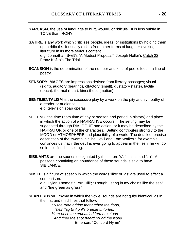- **SARCASM**, the use of language to hurt, wound, or ridicule. It is less subtle in TONE than IRONY.
- **SATIRE** is any work which criticizes people, ideas, or institutions by holding them up to ridicule. It usually differs from other forms of laughter-evoking literature in its more serious content. e.g. Johnathan Swift's "A Modest Proposal"; Joseph Heller's Catch 22; Franz Kafka's <u>The Trial and the Trial and the Secondary School and the Secondary School and the Secondary School and the Secondary School and the Secondary School and the Secondary School and the Secondary School and the </u>
- **SCANSION** is the determination of the number and kind of poetic feet in a line of poetry. The contract of the contract of the contract of the contract of the contract of the contract of the contract of the contract of the contract of the contract of the contract of the contract of the contract of the co
- **SENSORY IMAGES** are impressions derived from literary passages; visual (sight), auditory (hearing), olfactory (smell), gustatory (taste), tactile (touch), thermal (heat), kinesthetic (motion).
- **SENTIMENTALISM** is the excessive play by a work on the pity and sympathy of a reader or audience.
	- e.g. television soap operas
- **SETTING**, the time (both time of day or season and period in history) and place in which the action of a NARRATIVE occurs. The setting may be suggested through DIALOGUE and action, or it may be described by the NARRATOR or one of the characters. Setting contributes strongly to the MOOD or ATMOSPHERE and plausibility of a work. The detailed, precise description of the swamp in "The Devil and Tom Walker," for example, convinces us that if the devil is ever going to appear in the flesh, he will do so in this fiendish setting.
- **SIBILANTS** are the sounds designated by the letters 's', 'z', 'sh', and 'zh'. A passage containing an abundance of these sounds is said to have SIBILANCE.
- **SIMILE** is a figure of speech in which the words 'like' or 'as' are used to effect a comparison.

e.g. Dylan Thomas' "Fern Hill"; "Though I sang in my chains like the sea" and "fire green as grass"

**SLANT RHYME**, rhyme in which the vowel sounds are not quite identical, as in the first and third lines that follow:

> By the rude bridge that arched the flood, Their flag to April's breeze unfurled, Here once the embattled farmers stood And fired the shot heard round the world. Emerson, "Concord Hymn"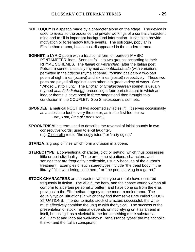- **SOLILOQUY** is a speech made by a character alone on the stage. The device is used to reveal to the audience the private workings of a central character's mind and to fill in important background information. It can also provide motivation or foreshadow future events. The soliloquy, popular in Elizabethan drama, has almost disappeared in the modern drama.
- **SONNET**, a LYRIC poem with a traditional form of fourteen IAMBIC PENTAMETER lines. Sonnets fall into two groups, according to their RHYME SCHEMES. The Italian or Petrarchan (after the Italian poet Petrarch) sonnet is usually rhymed abbaabba/cdecde (with variations permitted in the cdecde rhyme scheme), forming basically a two-part poem of eight lines (octave) and six lines (sestet) respectively. These two parts are played off against each other in a great variety of ways. See "Whoso List to Hunt." The *English* or Shakespearean sonnet is usually rhymed abab/cdcd/efef/gg, presenting a four-part structure in which an idea or theme is developed in three stages and then brought to a conclusion in the COUPLET. See Shakespeare's sonnets.
- **SPONDEE**, a metrical FOOT of two accented syllables ("). It serves occasionally as a substitute foot to vary the meter, as in the first foot below: Tom, Tom,  $/$  the pi  $/$  per's son...
- **SPOONERISM** is a term used to describe the reversal of initial sounds in two consecutive words; used to elicit laughter. e.g. Cinderella retold "the sugly isters" or "sisty uglers"
- **STANZA**, a group of lines which form a division in a poem.
- **STEREOTYPE**, a conventional character, plot, or setting, which thus possesses little or no individuality. There are some situations, characters, and settings that are frequently predictable, usually because of the author's treatment. Examples of such stereotypes include "the dead body in the library," "the wandering, lone hero," or "the poet starving in a garret."
- **STOCK CHARACTERS** are characters whose type and role have occurred frequently in fiction. The villain, the hero, and the chaste young woman all conform to a certain personality pattern and have done so from the eras previous to the Elizabethan tragedy to the modern melodrama. The equally typical situations in which they find themselves are called STOCK SITUATIONS. In order to make stock characters successful, the writer must effectively combine the unique with the typical. The success of the presentation of stock material depends on not relying on it as an end in itself, but using it as a skeletal frame for something more substantial. e.g. Hamlet and Iago are well-known Renaissance types: the melancholic thinker and the Italian conspirator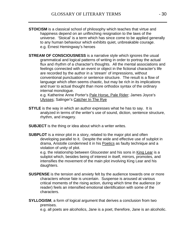- **STOICISM** is a classical school of philosophy which teaches that virtue and happiness depend on an unflinching resignation to the laws of the universe. 'Stoical' is a term which has since come to be applied generally to any human behaviour which exhibits quiet, unbreakable courage. e.g. Ernest Hemingway's heroes
- **STREAM OF CONSCIOUSNESS** is a narrative style which ignores the usual grammatical and logical patterns of writing in order to portray the actual flux and rhythm of a character's thoughts. All the mental associations and feelings connected with an event or object in the fictional character's life are recorded by the author in a 'stream' of impressions, without conventional punctuation or sentence structure. The result is a flow of language which often seems chaotic, but may be rich in its implications and truer to actual thought than more orthodox syntax of the ordinary internal monologue.

e.g. Katherine Anne Porter's Pale Horse, Pale Rider; James Joyce's Ulysses; Salinger's Catcher In The Rye

- **STYLE** is the way in which an author expresses what he has to say. It is analyzed in terms of the writer's use of sound, diction, sentence structure, rhythm, and imagery.
- **SUBJECT** is the thing or idea about which a writer writes.
- **SUBPLOT** is a minor plot in a story, related to the major plot and often developing parallel to it. Despite the wide and effective use of subplot in drama, Aristotle condemned it in his Poetics as faulty technique and a violation of unity of plot.

e.g. the relationship between Gloucester and his sons in King Lear is a subplot which, besides being of interest in itself, mirrors, promotes, and intensifies the movement of the main plot involving King Lear and his daughters. The contract of the contract of the contract of the contract of the contract of the contract of the contract of the contract of the contract of the contract of the contract of the contract of the contract of the

- **SUSPENSE** is the tension and anxiety felt by the audience towards one or more characters whose fate is uncertain. Suspense is aroused at various critical moments of the rising action, during which time the audience (or reader) feels an intensified emotional identification with some of the characters. **Example 2008 Characters**.
- **SYLLOGISM**, a form of logical argument that derives a conclusion from two premises.

e.g. all poets are alcoholics, Jane is a poet, therefore, Jane is an alcoholic.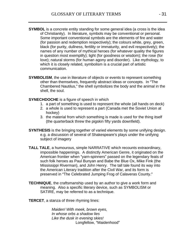- **SYMBOL** is a concrete entity standing for some general idea (a cross is the idea of Christianity). In literature, symbols may be conventional or personal. Some important conventional symbols are the elements of fire and water (for passion and redemption respectively); the colours white, grey, green, black (for purity, dullness, fertility or immaturity, and evil respectively); the names of any number of mythical heroes (for whatever quality the figures in question most exemplify); light (for goodness or wisdom); the rose (for love); natural storms (for human agony and disorder). Like mythology, to which it is closely related, symbolism is a crucial part of artistic communication.
- **SYMBOLISM**, the use in literature of objects or events to represent something other than themselves, frequently abstract ideas or concepts. In "The Chambered Nautilus," the shell symbolizes the body and the animal in the shell, the soul.
- **SYNECHDOCHE** is a figure of speech in which
	- 1. a part of something is used to represent the whole (all hands on deck)
	- 2. a whole is used to represent a part (Canada met the Soviet Union at hockey)
	- 3. the material from which something is made is used for the thing itself (the quarterback threw the pigskin fifty yards downfield).
- **SYNTHESIS** is the bringing together of varied elements by some unifying design. e.g. a discussion of several of Shakespeare's plays under the unifying subject of imagery **the contract of imagery**  $\sim$
- **TALL TALE**, a humourous, simple NARRATIVE which recounts extraordinary, impossible happenings. A distinctly American Genre, it originated on the American frontier when "yarn-spinners" passed on the legendary feats of such folk heroes as Paul Bunyan and Babe the Blue Ox, Mike Fink (the Mississippi Riverman), and John Henry. The tall tale found its way into the American Literary tradition after the Civil War, and its form is preserved in "The Celebrated Jumping Frog of Calaveras County."
- **TECHNIQUE**, the craftsmanship used by an author to give a work form and meaning. Also a specific literary device, such as SYMBOLISM or SATIRE, may be referred to as a technique.
- **TERCET**, a stanza of three rhyming lines:

Maiden! With meek, brown eyes, In whose orbs a shadow lies Like the dusk in evening skies! Longfellow, "Maidenhood"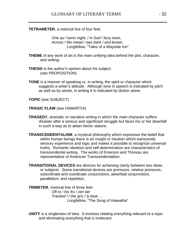## **TETRAMETER**, a metrical line of four feet:

One au / tumn night, / in Sud / bury town, Across / the mead / ows bare / and brown. Longfellow, "Tales of a Wayside Inn"

- **THEME** of any work of art is the main unifying idea behind the plot, character, and setting.
- **THESIS** is the author's opinion about his subject. (see PROPOSITION)
- **TONE** is a manner of speaking or, in writing, the spirit or character which suggests a writer's attitude. Although tone in speech is indicated by pitch as well as by words, in writing it is indicated by diction alone.

**TOPIC** (see SUBJECT)

**TRAGIC FLAW** (see HAMARTIA)

- **TRAGEDY**, dramatic or narrative writing in which the main character suffers disaster after a serious and significant struggle but faces his or her downfall in such a way as to attain heroic stature.
- **TRANSCENDENTALISM**, a mystical philosophy which expresses the belief that within human beings there is an insight or intuition which transcends sensory experience and logic and makes it possible to recognize universal truths. Romantic idealism and self-determination are characteristics of transcendental writing. The works of Emerson and Thoreau are representative of American Transcendentalism.

**TRANSITIONAL DEVICES** are devices for achieving clarity between two ideas or subjects. Some transitional devices are pronouns, relative pronouns, subordinate and coordinate conjunctions, adverbial conjunctions, parallelism, and repetition.

**TRIMETER**, metrical line of three feet:

Oft to / his fro / zen lair Tracked I / the gris / Iv bear ... Longfellow, "The Song of Hiawatha"

**UNITY** is a singleness of idea. It involves relating everything relevant to a topic and eliminating everything that is irrelevant.